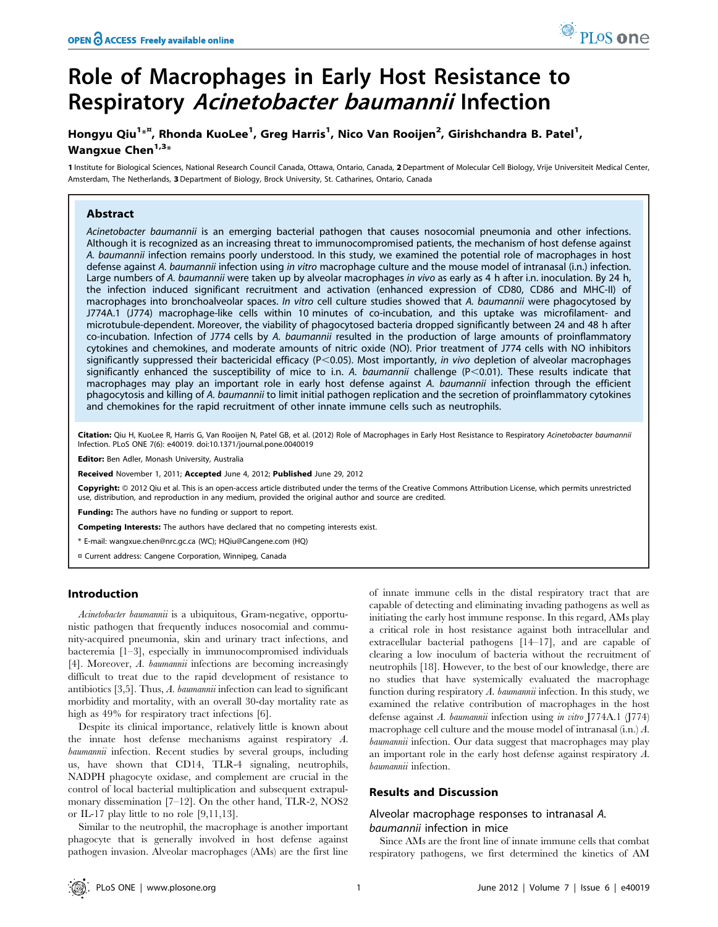# Hongyu Qiu<sup>1</sup>\*<sup>¤</sup>, Rhonda KuoLee<sup>1</sup>, Greg Harris<sup>1</sup>, Nico Van Rooijen<sup>2</sup>, Girishchandra B. Patel<sup>1</sup>, Wangxue Chen $1,3*$

1 Institute for Biological Sciences, National Research Council Canada, Ottawa, Ontario, Canada, 2 Department of Molecular Cell Biology, Vrije Universiteit Medical Center, Amsterdam, The Netherlands, 3Department of Biology, Brock University, St. Catharines, Ontario, Canada

## Abstract

Acinetobacter baumannii is an emerging bacterial pathogen that causes nosocomial pneumonia and other infections. Although it is recognized as an increasing threat to immunocompromised patients, the mechanism of host defense against A. baumannii infection remains poorly understood. In this study, we examined the potential role of macrophages in host defense against A. baumannii infection using in vitro macrophage culture and the mouse model of intranasal (i.n.) infection. Large numbers of A. baumannii were taken up by alveolar macrophages in vivo as early as 4 h after i.n. inoculation. By 24 h, the infection induced significant recruitment and activation (enhanced expression of CD80, CD86 and MHC-II) of macrophages into bronchoalveolar spaces. In vitro cell culture studies showed that A. baumannii were phagocytosed by J774A.1 (J774) macrophage-like cells within 10 minutes of co-incubation, and this uptake was microfilament- and microtubule-dependent. Moreover, the viability of phagocytosed bacteria dropped significantly between 24 and 48 h after co-incubation. Infection of J774 cells by A. baumannii resulted in the production of large amounts of proinflammatory cytokines and chemokines, and moderate amounts of nitric oxide (NO). Prior treatment of J774 cells with NO inhibitors significantly suppressed their bactericidal efficacy (P<0.05). Most importantly, in vivo depletion of alveolar macrophages significantly enhanced the susceptibility of mice to i.n. A. baumannii challenge  $(P< 0.01)$ . These results indicate that macrophages may play an important role in early host defense against A. baumannii infection through the efficient phagocytosis and killing of A. baumannii to limit initial pathogen replication and the secretion of proinflammatory cytokines and chemokines for the rapid recruitment of other innate immune cells such as neutrophils.

Citation: Qiu H, KuoLee R, Harris G, Van Rooijen N, Patel GB, et al. (2012) Role of Macrophages in Early Host Resistance to Respiratory Acinetobacter baumannii Infection. PLoS ONE 7(6): e40019. doi:10.1371/journal.pone.0040019

Editor: Ben Adler, Monash University, Australia

Received November 1, 2011; Accepted June 4, 2012; Published June 29, 2012

**Copyright:** © 2012 Qiu et al. This is an open-access article distributed under the terms of the Creative Commons Attribution License, which permits unrestricted use, distribution, and reproduction in any medium, provided the original author and source are credited.

unding: The authors have no funding or support to report

Competing Interests: The authors have declared that no competing interests exist.

\* E-mail: wangxue.chen@nrc.gc.ca (WC); HQiu@Cangene.com (HQ)

¤ Current address: Cangene Corporation, Winnipeg, Canada

### Introduction

Acinetobacter baumannii is a ubiquitous, Gram-negative, opportunistic pathogen that frequently induces nosocomial and community-acquired pneumonia, skin and urinary tract infections, and bacteremia [1–3], especially in immunocompromised individuals [4]. Moreover, A. baumannii infections are becoming increasingly difficult to treat due to the rapid development of resistance to antibiotics [3,5]. Thus, A. baumannii infection can lead to significant morbidity and mortality, with an overall 30-day mortality rate as high as  $49\%$  for respiratory tract infections [6].

Despite its clinical importance, relatively little is known about the innate host defense mechanisms against respiratory A. baumannii infection. Recent studies by several groups, including us, have shown that CD14, TLR-4 signaling, neutrophils, NADPH phagocyte oxidase, and complement are crucial in the control of local bacterial multiplication and subsequent extrapulmonary dissemination [7–12]. On the other hand, TLR-2, NOS2 or IL-17 play little to no role [9,11,13].

Similar to the neutrophil, the macrophage is another important phagocyte that is generally involved in host defense against pathogen invasion. Alveolar macrophages (AMs) are the first line of innate immune cells in the distal respiratory tract that are capable of detecting and eliminating invading pathogens as well as initiating the early host immune response. In this regard, AMs play a critical role in host resistance against both intracellular and extracellular bacterial pathogens [14–17], and are capable of clearing a low inoculum of bacteria without the recruitment of neutrophils [18]. However, to the best of our knowledge, there are no studies that have systemically evaluated the macrophage function during respiratory  $A$ . baumannii infection. In this study, we examined the relative contribution of macrophages in the host defense against A. baumannii infection using in vitro J774A.1 (J774) macrophage cell culture and the mouse model of intranasal (i.n.) A. baumannii infection. Our data suggest that macrophages may play an important role in the early host defense against respiratory A. baumannii infection.

## Results and Discussion

## Alveolar macrophage responses to intranasal A. baumannii infection in mice

Since AMs are the front line of innate immune cells that combat respiratory pathogens, we first determined the kinetics of AM

<sup>O</sup> PLoS one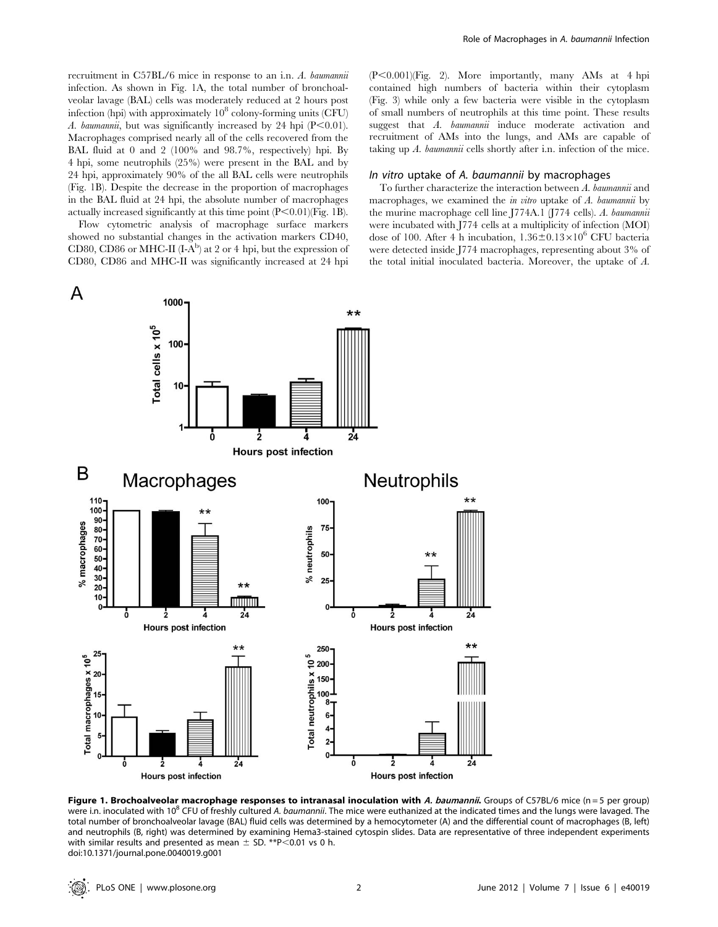recruitment in C57BL/6 mice in response to an i.n. A. baumannii infection. As shown in Fig. 1A, the total number of bronchoalveolar lavage (BAL) cells was moderately reduced at 2 hours post infection (hpi) with approximately  $10^8$  colony-forming units (CFU) A. baumannii, but was significantly increased by 24 hpi  $(P<0.01)$ . Macrophages comprised nearly all of the cells recovered from the BAL fluid at 0 and 2 (100% and 98.7%, respectively) hpi. By 4 hpi, some neutrophils (25%) were present in the BAL and by 24 hpi, approximately 90% of the all BAL cells were neutrophils (Fig. 1B). Despite the decrease in the proportion of macrophages in the BAL fluid at 24 hpi, the absolute number of macrophages actually increased significantly at this time point  $(P<0.01)$ (Fig. 1B).

Flow cytometric analysis of macrophage surface markers showed no substantial changes in the activation markers CD40, CD80, CD86 or MHC-II (I- $\overrightarrow{A}^b$ ) at 2 or 4 hpi, but the expression of CD80, CD86 and MHC-II was significantly increased at 24 hpi  $(P<0.001)$ (Fig. 2). More importantly, many AMs at 4 hpi contained high numbers of bacteria within their cytoplasm (Fig. 3) while only a few bacteria were visible in the cytoplasm of small numbers of neutrophils at this time point. These results suggest that A. baumannii induce moderate activation and recruitment of AMs into the lungs, and AMs are capable of taking up A. baumannii cells shortly after i.n. infection of the mice.

#### In vitro uptake of A. baumannii by macrophages

To further characterize the interaction between A. baumannii and macrophages, we examined the *in vitro* uptake of A. baumannii by the murine macrophage cell line J774A.1 (J774 cells). A. baumannii were incubated with J774 cells at a multiplicity of infection (MOI) dose of 100. After 4 h incubation,  $1.36 \pm 0.13 \times 10^6$  CFU bacteria were detected inside J774 macrophages, representing about 3% of the total initial inoculated bacteria. Moreover, the uptake of A.



Figure 1. Brochoalveolar macrophage responses to intranasal inoculation with A. baumannii. Groups of C57BL/6 mice (n = 5 per group) were i.n. inoculated with 10<sup>8</sup> CFU of freshly cultured A. baumannii. The mice were euthanized at the indicated times and the lungs were lavaged. The total number of bronchoalveolar lavage (BAL) fluid cells was determined by a hemocytometer (A) and the differential count of macrophages (B, left) and neutrophils (B, right) was determined by examining Hema3-stained cytospin slides. Data are representative of three independent experiments with similar results and presented as mean  $\pm$  SD. \*\*P $<$ 0.01 vs 0 h. doi:10.1371/journal.pone.0040019.g001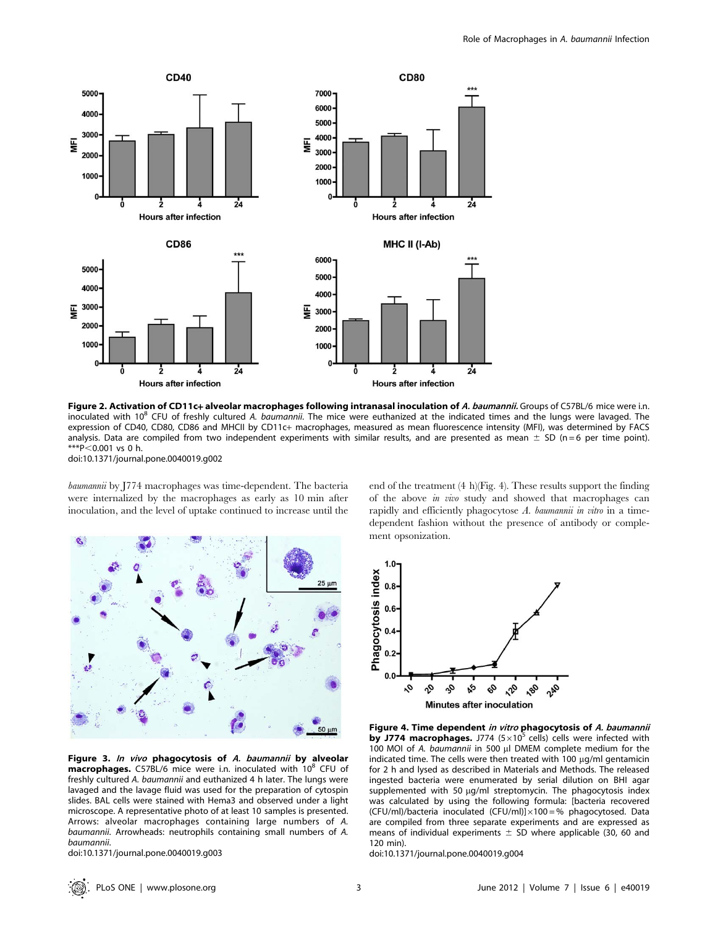

Figure 2. Activation of CD11c+ alveolar macrophages following intranasal inoculation of A. baumannii. Groups of C57BL/6 mice were i.n. inoculated with 10<sup>8</sup> CFU of freshly cultured A. baumannii. The mice were euthanized at the indicated times and the lungs were lavaged. The expression of CD40, CD80, CD86 and MHCII by CD11c+ macrophages, measured as mean fluorescence intensity (MFI), was determined by FACS analysis. Data are compiled from two independent experiments with similar results, and are presented as mean  $\pm$  SD (n = 6 per time point). \*\*\*P<0.001 vs 0 h.

doi:10.1371/journal.pone.0040019.g002

baumannii by J774 macrophages was time-dependent. The bacteria were internalized by the macrophages as early as 10 min after inoculation, and the level of uptake continued to increase until the



Figure 3. In vivo phagocytosis of A. baumannii by alveolar **macrophages.** C57BL/6 mice were i.n. inoculated with 10<sup>8</sup> CFU of freshly cultured A. baumannii and euthanized 4 h later. The lungs were lavaged and the lavage fluid was used for the preparation of cytospin slides. BAL cells were stained with Hema3 and observed under a light microscope. A representative photo of at least 10 samples is presented. Arrows: alveolar macrophages containing large numbers of A. baumannii. Arrowheads: neutrophils containing small numbers of A. baumannii.

doi:10.1371/journal.pone.0040019.g003

end of the treatment (4 h)(Fig. 4). These results support the finding of the above in vivo study and showed that macrophages can rapidly and efficiently phagocytose A. baumannii in vitro in a timedependent fashion without the presence of antibody or complement opsonization.



Figure 4. Time dependent in vitro phagocytosis of A. baumannii by J774 macrophages. J774 ( $5\times10^5$  cells) cells were infected with 100 MOI of A. baumannii in 500 ul DMEM complete medium for the indicated time. The cells were then treated with 100  $\mu$ g/ml gentamicin for 2 h and lysed as described in Materials and Methods. The released ingested bacteria were enumerated by serial dilution on BHI agar supplemented with 50 µg/ml streptomycin. The phagocytosis index was calculated by using the following formula: [bacteria recovered (CFU/ml)/bacteria inoculated (CFU/ml)] $\times$ 100 = % phagocytosed. Data are compiled from three separate experiments and are expressed as means of individual experiments  $\pm$  SD where applicable (30, 60 and 120 min).

doi:10.1371/journal.pone.0040019.g004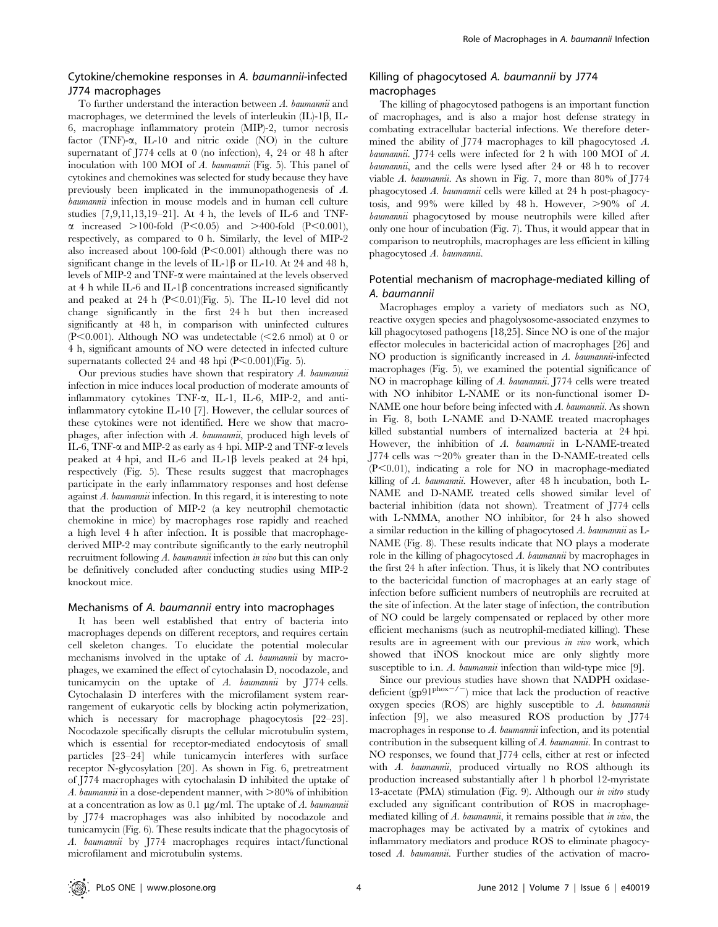## Cytokine/chemokine responses in A. baumannii-infected J774 macrophages

To further understand the interaction between A. baumannii and macrophages, we determined the levels of interleukin  $(IL)$ -1 $\beta$ , IL-6, macrophage inflammatory protein (MIP)-2, tumor necrosis factor (TNF)- $\alpha$ , IL-10 and nitric oxide (NO) in the culture supernatant of J774 cells at 0 (no infection), 4, 24 or 48 h after inoculation with 100 MOI of A. baumannii (Fig. 5). This panel of cytokines and chemokines was selected for study because they have previously been implicated in the immunopathogenesis of A. baumannii infection in mouse models and in human cell culture studies  $[7.9, 11.13, 19–21]$ . At 4 h, the levels of IL-6 and TNF- $\alpha$  increased >100-fold (P<0.05) and >400-fold (P<0.001), respectively, as compared to 0 h. Similarly, the level of MIP-2 also increased about 100-fold  $(P<0.001)$  although there was no significant change in the levels of IL-1 $\beta$  or IL-10. At 24 and 48 h, levels of MIP-2 and TNF-a were maintained at the levels observed at 4 h while IL-6 and IL-1 $\beta$  concentrations increased significantly and peaked at 24 h  $(P<0.01)$ (Fig. 5). The IL-10 level did not change significantly in the first 24 h but then increased significantly at 48 h, in comparison with uninfected cultures  $(P<0.001)$ . Although NO was undetectable (<2.6 nmol) at 0 or 4 h, significant amounts of NO were detected in infected culture supernatants collected 24 and 48 hpi  $(P<0.001)$ (Fig. 5).

Our previous studies have shown that respiratory  $A$ . baumannii infection in mice induces local production of moderate amounts of inflammatory cytokines TNF-a, IL-1, IL-6, MIP-2, and antiinflammatory cytokine IL-10 [7]. However, the cellular sources of these cytokines were not identified. Here we show that macrophages, after infection with A. baumannii, produced high levels of IL-6, TNF- $\alpha$  and MIP-2 as early as 4 hpi. MIP-2 and TNF- $\alpha$  levels peaked at 4 hpi, and IL-6 and IL-1 $\beta$  levels peaked at 24 hpi, respectively (Fig. 5). These results suggest that macrophages participate in the early inflammatory responses and host defense against A. baumannii infection. In this regard, it is interesting to note that the production of MIP-2 (a key neutrophil chemotactic chemokine in mice) by macrophages rose rapidly and reached a high level 4 h after infection. It is possible that macrophagederived MIP-2 may contribute significantly to the early neutrophil recruitment following A. baumannii infection in vivo but this can only be definitively concluded after conducting studies using MIP-2 knockout mice.

#### Mechanisms of A. baumannii entry into macrophages

It has been well established that entry of bacteria into macrophages depends on different receptors, and requires certain cell skeleton changes. To elucidate the potential molecular mechanisms involved in the uptake of A. baumannii by macrophages, we examined the effect of cytochalasin D, nocodazole, and tunicamycin on the uptake of A. baumannii by J774 cells. Cytochalasin D interferes with the microfilament system rearrangement of eukaryotic cells by blocking actin polymerization, which is necessary for macrophage phagocytosis  $[22-23]$ . Nocodazole specifically disrupts the cellular microtubulin system, which is essential for receptor-mediated endocytosis of small particles [23–24] while tunicamycin interferes with surface receptor N-glycosylation [20]. As shown in Fig. 6, pretreatment of J774 macrophages with cytochalasin D inhibited the uptake of A. baumannii in a dose-dependent manner, with  $>80\%$  of inhibition at a concentration as low as 0.1  $\mu$ g/ml. The uptake of A. baumannii by J774 macrophages was also inhibited by nocodazole and tunicamycin (Fig. 6). These results indicate that the phagocytosis of A. baumannii by J774 macrophages requires intact/functional microfilament and microtubulin systems.

## Killing of phagocytosed A. baumannii by J774 macrophages

The killing of phagocytosed pathogens is an important function of macrophages, and is also a major host defense strategy in combating extracellular bacterial infections. We therefore determined the ability of J774 macrophages to kill phagocytosed A. baumannii. J774 cells were infected for 2 h with 100 MOI of A. baumannii, and the cells were lysed after 24 or 48 h to recover viable A. baumannii. As shown in Fig. 7, more than 80% of J774 phagocytosed A. baumannii cells were killed at 24 h post-phagocytosis, and 99% were killed by 48 h. However,  $>90\%$  of A. baumannii phagocytosed by mouse neutrophils were killed after only one hour of incubation (Fig. 7). Thus, it would appear that in comparison to neutrophils, macrophages are less efficient in killing phagocytosed A. baumannii.

## Potential mechanism of macrophage-mediated killing of A. baumannii

Macrophages employ a variety of mediators such as NO, reactive oxygen species and phagolysosome-associated enzymes to kill phagocytosed pathogens [18,25]. Since NO is one of the major effector molecules in bactericidal action of macrophages [26] and NO production is significantly increased in A. baumannii-infected macrophages (Fig. 5), we examined the potential significance of NO in macrophage killing of A. baumannii. J774 cells were treated with NO inhibitor L-NAME or its non-functional isomer D-NAME one hour before being infected with A. baumannii. As shown in Fig. 8, both L-NAME and D-NAME treated macrophages killed substantial numbers of internalized bacteria at 24 hpi. However, the inhibition of A. baumannii in L-NAME-treated J774 cells was  $\sim$ 20% greater than in the D-NAME-treated cells  $(P<0.01)$ , indicating a role for NO in macrophage-mediated killing of A. baumannii. However, after 48 h incubation, both L-NAME and D-NAME treated cells showed similar level of bacterial inhibition (data not shown). Treatment of J774 cells with L-NMMA, another NO inhibitor, for 24 h also showed a similar reduction in the killing of phagocytosed A. baumannii as L-NAME (Fig. 8). These results indicate that NO plays a moderate role in the killing of phagocytosed A. baumannii by macrophages in the first 24 h after infection. Thus, it is likely that NO contributes to the bactericidal function of macrophages at an early stage of infection before sufficient numbers of neutrophils are recruited at the site of infection. At the later stage of infection, the contribution of NO could be largely compensated or replaced by other more efficient mechanisms (such as neutrophil-mediated killing). These results are in agreement with our previous *in vivo* work, which showed that iNOS knockout mice are only slightly more susceptible to i.n. A. baumannii infection than wild-type mice [9].

Since our previous studies have shown that NADPH oxidasedeficient (gp91<sup>phox-/-</sup>) mice that lack the production of reactive oxygen species (ROS) are highly susceptible to A. baumannii infection [9], we also measured ROS production by J774 macrophages in response to  $A$ . baumannii infection, and its potential contribution in the subsequent killing of A. baumannii. In contrast to NO responses, we found that J774 cells, either at rest or infected with A. baumannii, produced virtually no ROS although its production increased substantially after 1 h phorbol 12-myristate 13-acetate (PMA) stimulation (Fig. 9). Although our in vitro study excluded any significant contribution of ROS in macrophagemediated killing of A. baumannii, it remains possible that in vivo, the macrophages may be activated by a matrix of cytokines and inflammatory mediators and produce ROS to eliminate phagocytosed A. baumannii. Further studies of the activation of macro-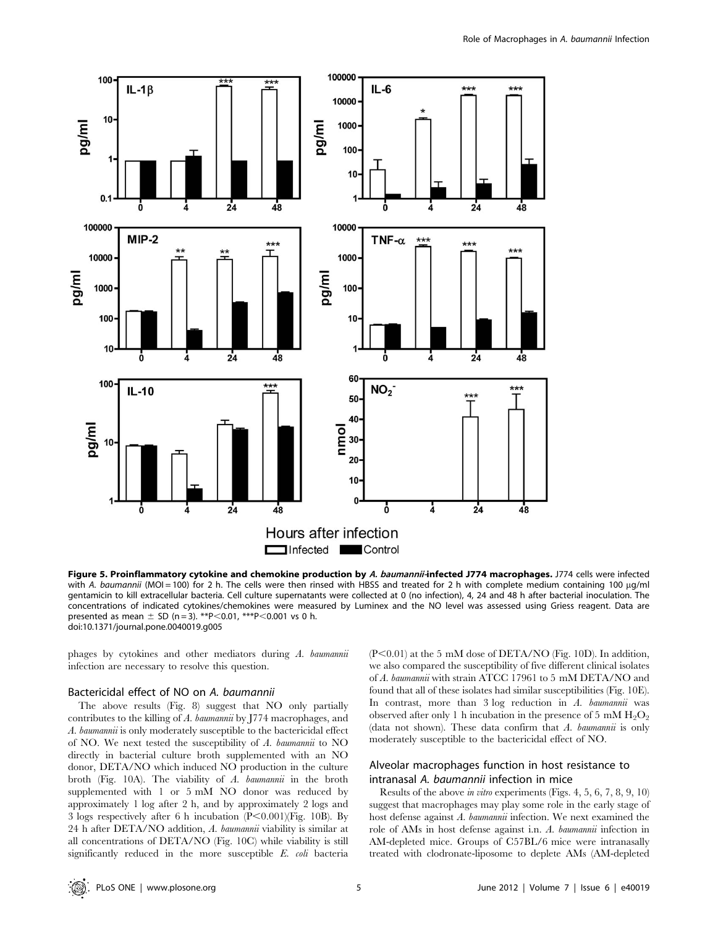

Figure 5. Proinflammatory cytokine and chemokine production by A. baumannii-infected J774 macrophages. J774 cells were infected with A. baumannii (MOI = 100) for 2 h. The cells were then rinsed with HBSS and treated for 2 h with complete medium containing 100  $\mu q/ml$ gentamicin to kill extracellular bacteria. Cell culture supernatants were collected at 0 (no infection), 4, 24 and 48 h after bacterial inoculation. The concentrations of indicated cytokines/chemokines were measured by Luminex and the NO level was assessed using Griess reagent. Data are presented as mean  $\pm$  SD (n = 3). \*\*P<0.01, \*\*\*P<0.001 vs 0 h. doi:10.1371/journal.pone.0040019.g005

phages by cytokines and other mediators during A. baumannii infection are necessary to resolve this question.

### Bactericidal effect of NO on A. baumannii

The above results (Fig. 8) suggest that NO only partially contributes to the killing of A. baumannii by J774 macrophages, and A. baumannii is only moderately susceptible to the bactericidal effect of NO. We next tested the susceptibility of A. baumannii to NO directly in bacterial culture broth supplemented with an NO donor, DETA/NO which induced NO production in the culture broth (Fig. 10A). The viability of A. baumannii in the broth supplemented with 1 or 5 mM NO donor was reduced by approximately 1 log after 2 h, and by approximately 2 logs and 3 logs respectively after 6 h incubation (P<0.001)(Fig. 10B). By 24 h after DETA/NO addition, A. baumannii viability is similar at all concentrations of DETA/NO (Fig. 10C) while viability is still significantly reduced in the more susceptible E. coli bacteria  $(P<0.01)$  at the 5 mM dose of DETA/NO (Fig. 10D). In addition, we also compared the susceptibility of five different clinical isolates of A. baumannii with strain ATCC 17961 to 5 mM DETA/NO and found that all of these isolates had similar susceptibilities (Fig. 10E). In contrast, more than 3 log reduction in A. baumannii was observed after only 1 h incubation in the presence of 5 mM  $\rm H_2O_2$ (data not shown). These data confirm that  $A$ . baumannii is only moderately susceptible to the bactericidal effect of NO.

## Alveolar macrophages function in host resistance to intranasal A. baumannii infection in mice

Results of the above in vitro experiments (Figs. 4, 5, 6, 7, 8, 9, 10) suggest that macrophages may play some role in the early stage of host defense against A. baumannii infection. We next examined the role of AMs in host defense against i.n. A. baumannii infection in AM-depleted mice. Groups of C57BL/6 mice were intranasally treated with clodronate-liposome to deplete AMs (AM-depleted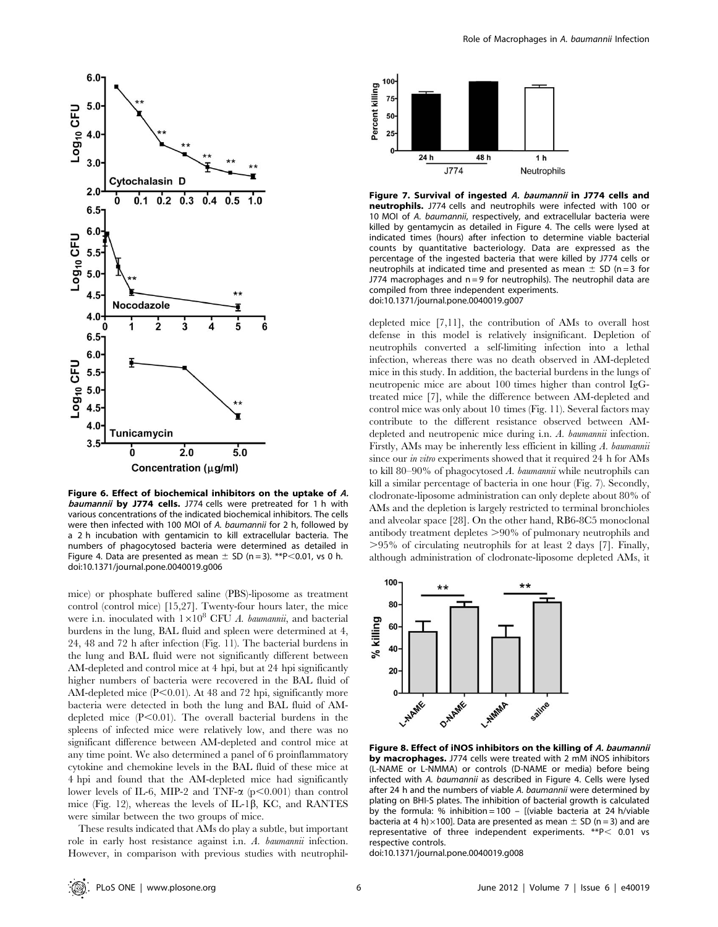

Figure 6. Effect of biochemical inhibitors on the uptake of A. baumannii by J774 cells. J774 cells were pretreated for 1 h with various concentrations of the indicated biochemical inhibitors. The cells were then infected with 100 MOI of A. baumannii for 2 h, followed by a 2 h incubation with gentamicin to kill extracellular bacteria. The numbers of phagocytosed bacteria were determined as detailed in Figure 4. Data are presented as mean  $\pm$  SD (n = 3). \*\*P $<$ 0.01, vs 0 h. doi:10.1371/journal.pone.0040019.g006

mice) or phosphate buffered saline (PBS)-liposome as treatment control (control mice) [15,27]. Twenty-four hours later, the mice were i.n. inoculated with  $1\times10^8$  CFU A. baumannii, and bacterial burdens in the lung, BAL fluid and spleen were determined at 4, 24, 48 and 72 h after infection (Fig. 11). The bacterial burdens in the lung and BAL fluid were not significantly different between AM-depleted and control mice at 4 hpi, but at 24 hpi significantly higher numbers of bacteria were recovered in the BAL fluid of AM-depleted mice  $(P<0.01)$ . At 48 and 72 hpi, significantly more bacteria were detected in both the lung and BAL fluid of AMdepleted mice  $(P<0.01)$ . The overall bacterial burdens in the spleens of infected mice were relatively low, and there was no significant difference between AM-depleted and control mice at any time point. We also determined a panel of 6 proinflammatory cytokine and chemokine levels in the BAL fluid of these mice at 4 hpi and found that the AM-depleted mice had significantly lower levels of IL-6, MIP-2 and TNF- $\alpha$  (p $\leq$ 0.001) than control mice (Fig. 12), whereas the levels of IL-1 $\beta$ , KC, and RANTES were similar between the two groups of mice.

These results indicated that AMs do play a subtle, but important role in early host resistance against i.n. A. baumannii infection. However, in comparison with previous studies with neutrophil-



Figure 7. Survival of ingested A. baumannii in J774 cells and neutrophils. J774 cells and neutrophils were infected with 100 or 10 MOI of A. baumannii, respectively, and extracellular bacteria were killed by gentamycin as detailed in Figure 4. The cells were lysed at indicated times (hours) after infection to determine viable bacterial counts by quantitative bacteriology. Data are expressed as the percentage of the ingested bacteria that were killed by J774 cells or neutrophils at indicated time and presented as mean  $\pm$  SD (n = 3 for J774 macrophages and  $n = 9$  for neutrophils). The neutrophil data are compiled from three independent experiments. doi:10.1371/journal.pone.0040019.g007

depleted mice [7,11], the contribution of AMs to overall host defense in this model is relatively insignificant. Depletion of neutrophils converted a self-limiting infection into a lethal infection, whereas there was no death observed in AM-depleted mice in this study. In addition, the bacterial burdens in the lungs of neutropenic mice are about 100 times higher than control IgGtreated mice [7], while the difference between AM-depleted and control mice was only about 10 times (Fig. 11). Several factors may contribute to the different resistance observed between AMdepleted and neutropenic mice during i.n. A. baumannii infection. Firstly, AMs may be inherently less efficient in killing A. baumannii since our *in vitro* experiments showed that it required 24 h for AMs to kill 80–90% of phagocytosed A. baumannii while neutrophils can kill a similar percentage of bacteria in one hour (Fig. 7). Secondly, clodronate-liposome administration can only deplete about 80% of AMs and the depletion is largely restricted to terminal bronchioles and alveolar space [28]. On the other hand, RB6-8C5 monoclonal antibody treatment depletes  $>90\%$  of pulmonary neutrophils and  $>95\%$  of circulating neutrophils for at least 2 days [7]. Finally, although administration of clodronate-liposome depleted AMs, it



Figure 8. Effect of iNOS inhibitors on the killing of A. baumannii by macrophages. J774 cells were treated with 2 mM iNOS inhibitors (L-NAME or L-NMMA) or controls (D-NAME or media) before being infected with A. baumannii as described in Figure 4. Cells were lysed after 24 h and the numbers of viable A. baumannii were determined by plating on BHI-S plates. The inhibition of bacterial growth is calculated by the formula: % inhibition =  $100 - [($ viable bacteria at 24 h/viable bacteria at 4 h) $\times$ 100]. Data are presented as mean  $\pm$  SD (n = 3) and are representative of three independent experiments.  $**P< 0.01$  vs respective controls.

doi:10.1371/journal.pone.0040019.g008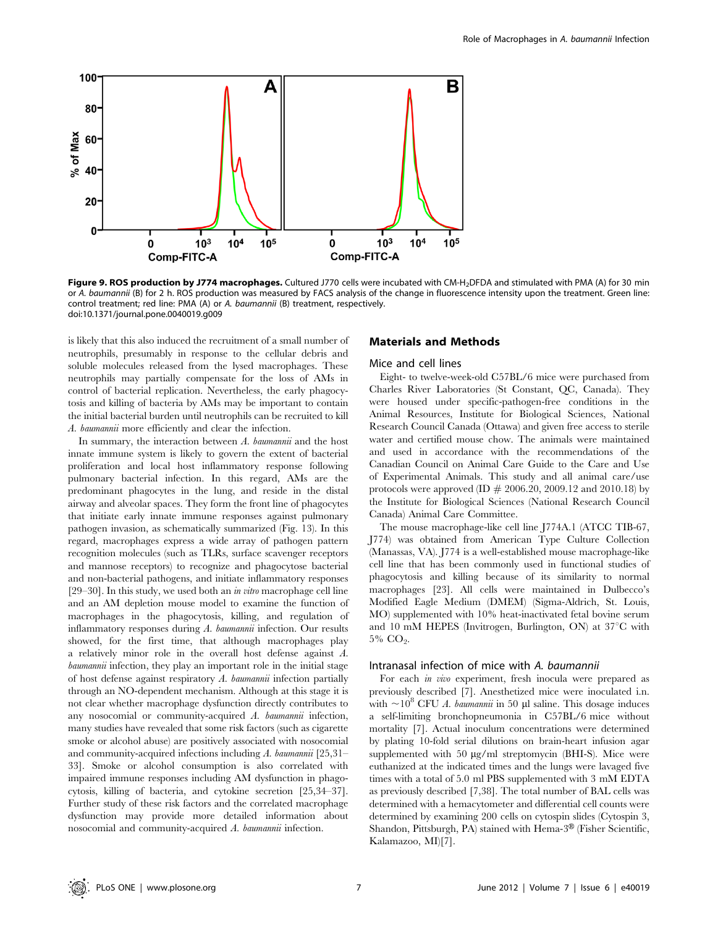

Figure 9. ROS production by J774 macrophages. Cultured J770 cells were incubated with CM-H<sub>2</sub>DFDA and stimulated with PMA (A) for 30 min or A. baumannii (B) for 2 h. ROS production was measured by FACS analysis of the change in fluorescence intensity upon the treatment. Green line: control treatment; red line: PMA (A) or A. baumannii (B) treatment, respectively. doi:10.1371/journal.pone.0040019.g009

is likely that this also induced the recruitment of a small number of neutrophils, presumably in response to the cellular debris and soluble molecules released from the lysed macrophages. These neutrophils may partially compensate for the loss of AMs in control of bacterial replication. Nevertheless, the early phagocytosis and killing of bacteria by AMs may be important to contain the initial bacterial burden until neutrophils can be recruited to kill A. baumannii more efficiently and clear the infection.

In summary, the interaction between  $A$ . baumannii and the host innate immune system is likely to govern the extent of bacterial proliferation and local host inflammatory response following pulmonary bacterial infection. In this regard, AMs are the predominant phagocytes in the lung, and reside in the distal airway and alveolar spaces. They form the front line of phagocytes that initiate early innate immune responses against pulmonary pathogen invasion, as schematically summarized (Fig. 13). In this regard, macrophages express a wide array of pathogen pattern recognition molecules (such as TLRs, surface scavenger receptors and mannose receptors) to recognize and phagocytose bacterial and non-bacterial pathogens, and initiate inflammatory responses [29–30]. In this study, we used both an *in vitro* macrophage cell line and an AM depletion mouse model to examine the function of macrophages in the phagocytosis, killing, and regulation of inflammatory responses during A. baumannii infection. Our results showed, for the first time, that although macrophages play a relatively minor role in the overall host defense against A. baumannii infection, they play an important role in the initial stage of host defense against respiratory A. baumannii infection partially through an NO-dependent mechanism. Although at this stage it is not clear whether macrophage dysfunction directly contributes to any nosocomial or community-acquired A. baumannii infection, many studies have revealed that some risk factors (such as cigarette smoke or alcohol abuse) are positively associated with nosocomial and community-acquired infections including A. baumannii [25,31– 33]. Smoke or alcohol consumption is also correlated with impaired immune responses including AM dysfunction in phagocytosis, killing of bacteria, and cytokine secretion [25,34–37]. Further study of these risk factors and the correlated macrophage dysfunction may provide more detailed information about nosocomial and community-acquired A. baumannii infection.

## Materials and Methods

#### Mice and cell lines

Eight- to twelve-week-old C57BL/6 mice were purchased from Charles River Laboratories (St Constant, QC, Canada). They were housed under specific-pathogen-free conditions in the Animal Resources, Institute for Biological Sciences, National Research Council Canada (Ottawa) and given free access to sterile water and certified mouse chow. The animals were maintained and used in accordance with the recommendations of the Canadian Council on Animal Care Guide to the Care and Use of Experimental Animals. This study and all animal care/use protocols were approved (ID  $\# 2006.20, 2009.12$  and 2010.18) by the Institute for Biological Sciences (National Research Council Canada) Animal Care Committee.

The mouse macrophage-like cell line J774A.1 (ATCC TIB-67, J774) was obtained from American Type Culture Collection (Manassas, VA). J774 is a well-established mouse macrophage-like cell line that has been commonly used in functional studies of phagocytosis and killing because of its similarity to normal macrophages [23]. All cells were maintained in Dulbecco's Modified Eagle Medium (DMEM) (Sigma-Aldrich, St. Louis, MO) supplemented with 10% heat-inactivated fetal bovine serum and 10 mM HEPES (Invitrogen, Burlington, ON) at  $37^{\circ}$ C with 5% CO<sub>2</sub>.

### Intranasal infection of mice with A. baumannii

For each in vivo experiment, fresh inocula were prepared as previously described [7]. Anesthetized mice were inoculated i.n. with  $\sim$ 10<sup>8</sup> CFU A. baumannii in 50 µl saline. This dosage induces a self-limiting bronchopneumonia in C57BL/6 mice without mortality [7]. Actual inoculum concentrations were determined by plating 10-fold serial dilutions on brain-heart infusion agar supplemented with 50  $\mu$ g/ml streptomycin (BHI-S). Mice were euthanized at the indicated times and the lungs were lavaged five times with a total of 5.0 ml PBS supplemented with 3 mM EDTA as previously described [7,38]. The total number of BAL cells was determined with a hemacytometer and differential cell counts were determined by examining 200 cells on cytospin slides (Cytospin 3, Shandon, Pittsburgh, PA) stained with Hema- $3^{\circledR}$  (Fisher Scientific, Kalamazoo, MI)[7].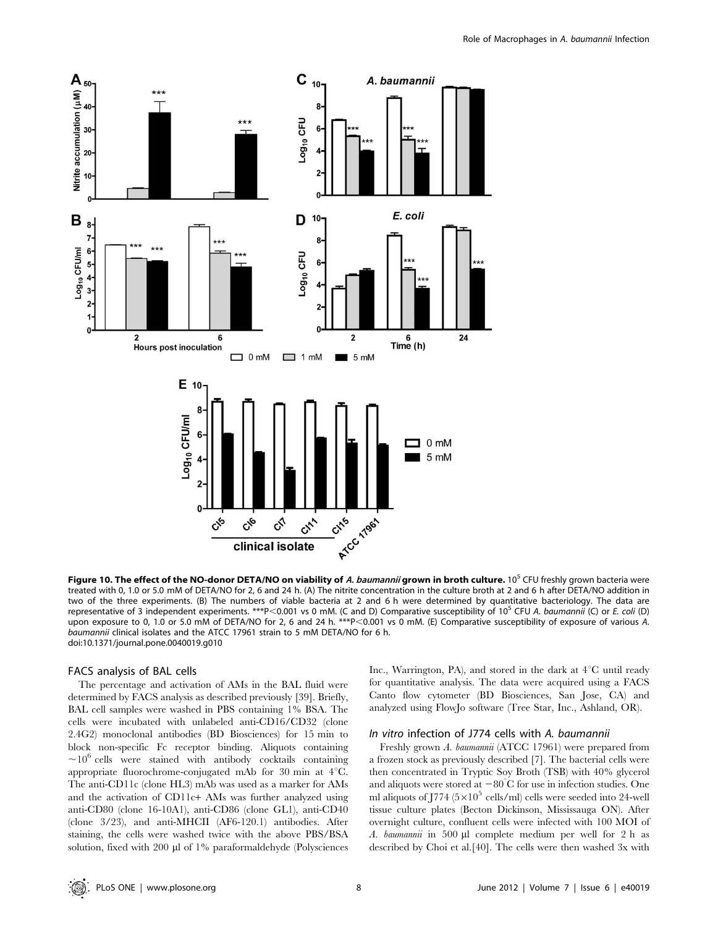

Figure 10. The effect of the NO-donor DETA/NO on viability of A. baumannii grown in broth culture. 10<sup>5</sup> CFU freshly grown bacteria were treated with 0, 1.0 or 5.0 mM of DETA/NO for 2, 6 and 24 h. (A) The nitrite concentration in the culture broth at 2 and 6 h after DETA/NO addition in two of the three experiments. (B) The numbers of viable bacteria at 2 and 6 h were determined by quantitative bacteriology. The data are representative of 3 independent experiments. \*\*\*P<0.001 vs 0 mM. (C and D) Comparative susceptibility of 10<sup>5</sup> CFU A. baumannii (C) or E. coli (D) upon exposure to 0, 1.0 or 5.0 mM of DETA/NO for 2, 6 and 24 h. \*\*\*P<0.001 vs 0 mM. (E) Comparative susceptibility of exposure of various A. baumannii clinical isolates and the ATCC 17961 strain to 5 mM DETA/NO for 6 h. doi:10.1371/journal.pone.0040019.g010

#### FACS analysis of BAL cells

The percentage and activation of AMs in the BAL fluid were determined by FACS analysis as described previously [39]. Briefly, BAL cell samples were washed in PBS containing 1% BSA. The cells were incubated with unlabeled anti-CD16/CD32 (clone 2.4G2) monoclonal antibodies (BD Biosciences) for 15 min to block non-specific Fc receptor binding. Aliquots containing  $\sim10^6$  cells were stained with antibody cocktails containing appropriate fluorochrome-conjugated mAb for 30 min at  $4^{\circ}$ C. The anti-CD11c (clone HL3) mAb was used as a marker for AMs and the activation of CD11c+ AMs was further analyzed using anti-CD80 (clone 16-10A1), anti-CD86 (clone GL1), anti-CD40 (clone 3/23), and anti-MHCII (AF6-120.1) antibodies. After staining, the cells were washed twice with the above PBS/BSA solution, fixed with  $200 \mu$  of  $1\%$  paraformaldehyde (Polysciences Inc., Warrington, PA), and stored in the dark at  $4^{\circ}$ C until ready for quantitative analysis. The data were acquired using a FACS Canto flow cytometer (BD Biosciences, San Jose, CA) and analyzed using FlowJo software (Tree Star, Inc., Ashland, OR).

### In vitro infection of J774 cells with A. baumannii

Freshly grown A. baumannii (ATCC 17961) were prepared from a frozen stock as previously described [7]. The bacterial cells were then concentrated in Tryptic Soy Broth (TSB) with 40% glycerol and aliquots were stored at  $-80^{\circ}$ C for use in infection studies. One ml aliquots of J774  $(5\times10^5 \text{ cells/ml})$  cells were seeded into 24-well tissue culture plates (Becton Dickinson, Mississauga ON). After overnight culture, confluent cells were infected with 100 MOI of A. baumannii in 500 µl complete medium per well for 2 h as described by Choi et al.[40]. The cells were then washed 3x with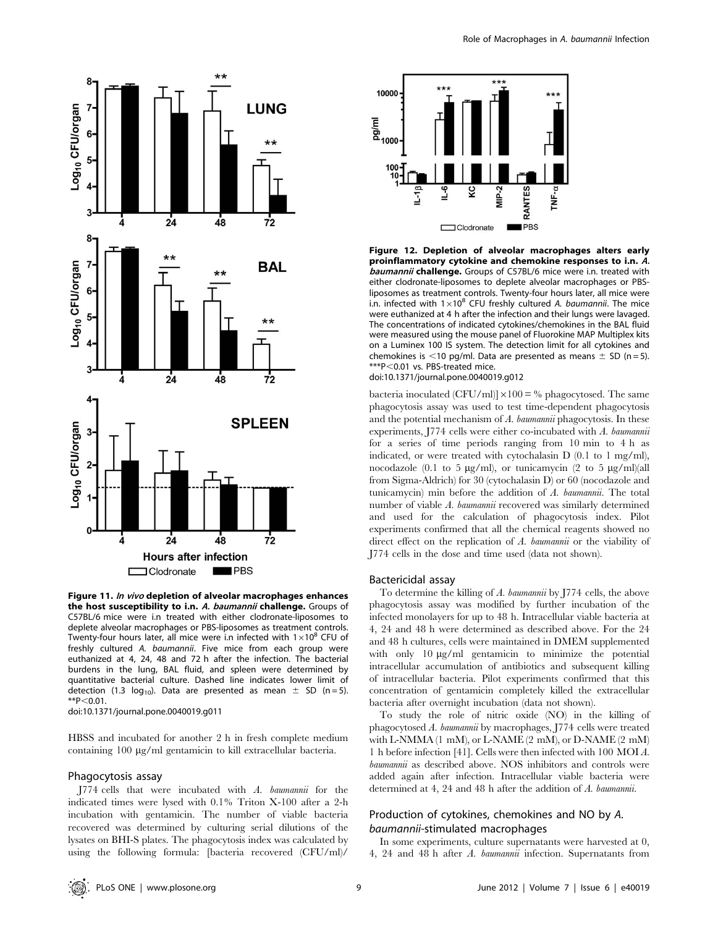

Figure 11. In vivo depletion of alveolar macrophages enhances the host susceptibility to i.n. A. baumannii challenge. Groups of C57BL/6 mice were i.n treated with either clodronate-liposomes to deplete alveolar macrophages or PBS-liposomes as treatment controls. Twenty-four hours later, all mice were i.n infected with  $1\times10^8$  CFU of freshly cultured A. baumannii. Five mice from each group were euthanized at 4, 24, 48 and 72 h after the infection. The bacterial burdens in the lung, BAL fluid, and spleen were determined by quantitative bacterial culture. Dashed line indicates lower limit of detection (1.3  $log_{10}$ ). Data are presented as mean  $\pm$  SD (n = 5).  $*$  $P<$ 0.01.

doi:10.1371/journal.pone.0040019.g011

HBSS and incubated for another 2 h in fresh complete medium containing 100 µg/ml gentamicin to kill extracellular bacteria.

#### Phagocytosis assay

J774 cells that were incubated with A. baumannii for the indicated times were lysed with 0.1% Triton X-100 after a 2-h incubation with gentamicin. The number of viable bacteria recovered was determined by culturing serial dilutions of the lysates on BHI-S plates. The phagocytosis index was calculated by using the following formula: [bacteria recovered (CFU/ml)/



Figure 12. Depletion of alveolar macrophages alters early proinflammatory cytokine and chemokine responses to i.n. A. **baumannii challenge.** Groups of C57BL/6 mice were i.n. treated with either clodronate-liposomes to deplete alveolar macrophages or PBSliposomes as treatment controls. Twenty-four hours later, all mice were i.n. infected with  $1\times10^8$  CFU freshly cultured A. baumannii. The mice were euthanized at 4 h after the infection and their lungs were lavaged. The concentrations of indicated cytokines/chemokines in the BAL fluid were measured using the mouse panel of Fluorokine MAP Multiplex kits on a Luminex 100 IS system. The detection limit for all cytokines and chemokines is <10 pg/ml. Data are presented as means  $\pm$  SD (n = 5). \*\*\*P<0.01 vs. PBS-treated mice.

doi:10.1371/journal.pone.0040019.g012

bacteria inoculated (CFU/ml)] $\times100 = \%$  phagocytosed. The same phagocytosis assay was used to test time-dependent phagocytosis and the potential mechanism of  $A$ . baumannii phagocytosis. In these experiments, J774 cells were either co-incubated with A. baumannii for a series of time periods ranging from 10 min to 4 h as indicated, or were treated with cytochalasin D (0.1 to 1 mg/ml), nocodazole (0.1 to 5  $\mu$ g/ml), or tunicamycin (2 to 5  $\mu$ g/ml)(all from Sigma-Aldrich) for 30 (cytochalasin D) or 60 (nocodazole and tunicamycin) min before the addition of A. baumannii. The total number of viable A. baumannii recovered was similarly determined and used for the calculation of phagocytosis index. Pilot experiments confirmed that all the chemical reagents showed no direct effect on the replication of A. baumannii or the viability of J774 cells in the dose and time used (data not shown).

#### Bactericidal assay

To determine the killing of A. baumannii by J774 cells, the above phagocytosis assay was modified by further incubation of the infected monolayers for up to 48 h. Intracellular viable bacteria at 4, 24 and 48 h were determined as described above. For the 24 and 48 h cultures, cells were maintained in DMEM supplemented with only  $10 \mu g/ml$  gentamicin to minimize the potential intracellular accumulation of antibiotics and subsequent killing of intracellular bacteria. Pilot experiments confirmed that this concentration of gentamicin completely killed the extracellular bacteria after overnight incubation (data not shown).

To study the role of nitric oxide (NO) in the killing of phagocytosed A. baumannii by macrophages, J774 cells were treated with L-NMMA (1 mM), or L-NAME (2 mM), or D-NAME (2 mM) 1 h before infection [41]. Cells were then infected with 100 MOI A. baumannii as described above. NOS inhibitors and controls were added again after infection. Intracellular viable bacteria were determined at 4, 24 and 48 h after the addition of A. baumannii.

## Production of cytokines, chemokines and NO by A. baumannii-stimulated macrophages

In some experiments, culture supernatants were harvested at 0, 4, 24 and 48 h after A. baumannii infection. Supernatants from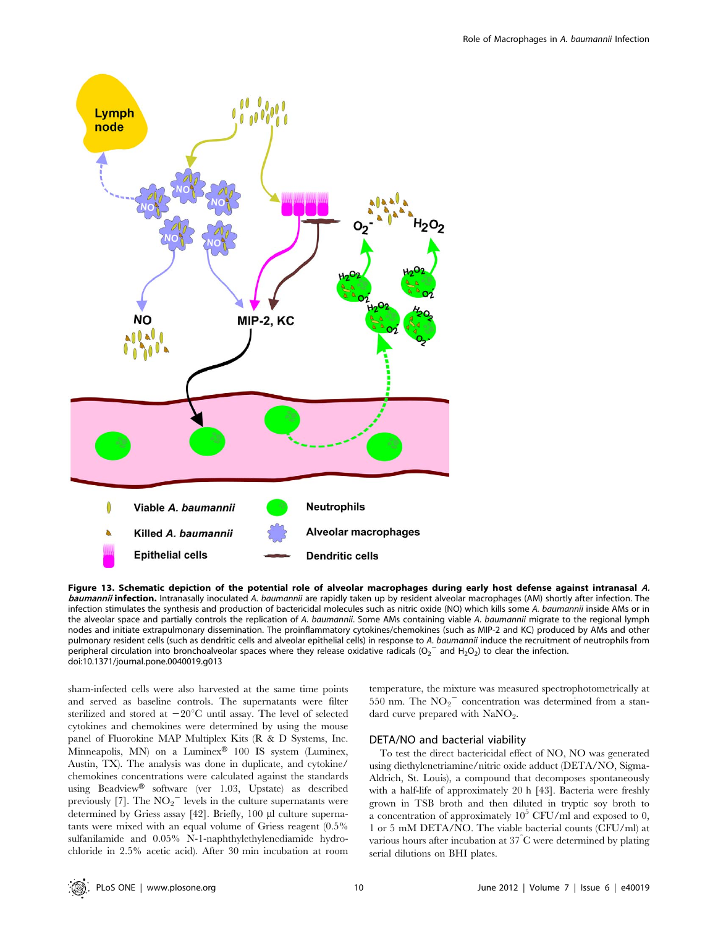

Figure 13. Schematic depiction of the potential role of alveolar macrophages during early host defense against intranasal A. baumannii infection. Intranasally inoculated A. baumannii are rapidly taken up by resident alveolar macrophages (AM) shortly after infection. The infection stimulates the synthesis and production of bactericidal molecules such as nitric oxide (NO) which kills some A. baumannii inside AMs or in the alveolar space and partially controls the replication of A. baumannii. Some AMs containing viable A. baumannii migrate to the regional lymph nodes and initiate extrapulmonary dissemination. The proinflammatory cytokines/chemokines (such as MIP-2 and KC) produced by AMs and other pulmonary resident cells (such as dendritic cells and alveolar epithelial cells) in response to A. baumannii induce the recruitment of neutrophils from peripheral circulation into bronchoalveolar spaces where they release oxidative radicals (O<sub>2</sub><sup>-</sup> and H<sub>2</sub>O<sub>2</sub>) to clear the infection. doi:10.1371/journal.pone.0040019.g013

sham-infected cells were also harvested at the same time points and served as baseline controls. The supernatants were filter sterilized and stored at  $-20^{\circ}$ C until assay. The level of selected cytokines and chemokines were determined by using the mouse panel of Fluorokine MAP Multiplex Kits (R & D Systems, Inc. Minneapolis, MN) on a Luminex $\mathbb{B}$  100 IS system (Luminex, Austin, TX). The analysis was done in duplicate, and cytokine/ chemokines concentrations were calculated against the standards using Beadview® software (ver 1.03, Upstate) as described previously [7]. The  $NO_2$ <sup>-</sup> levels in the culture supernatants were determined by Griess assay [42]. Briefly, 100 µl culture supernatants were mixed with an equal volume of Griess reagent (0.5% sulfanilamide and 0.05% N-1-naphthylethylenediamide hydrochloride in 2.5% acetic acid). After 30 min incubation at room temperature, the mixture was measured spectrophotometrically at  $550$  nm. The  $NO_2$ <sup>-</sup> concentration was determined from a standard curve prepared with  $NaNO<sub>2</sub>$ .

### DETA/NO and bacterial viability

To test the direct bactericidal effect of NO, NO was generated using diethylenetriamine/nitric oxide adduct (DETA/NO, Sigma-Aldrich, St. Louis), a compound that decomposes spontaneously with a half-life of approximately 20 h [43]. Bacteria were freshly grown in TSB broth and then diluted in tryptic soy broth to a concentration of approximately  $10^5$  CFU/ml and exposed to 0, 1 or 5 mM DETA/NO. The viable bacterial counts (CFU/ml) at various hours after incubation at 37<sup>°</sup>C were determined by plating serial dilutions on BHI plates.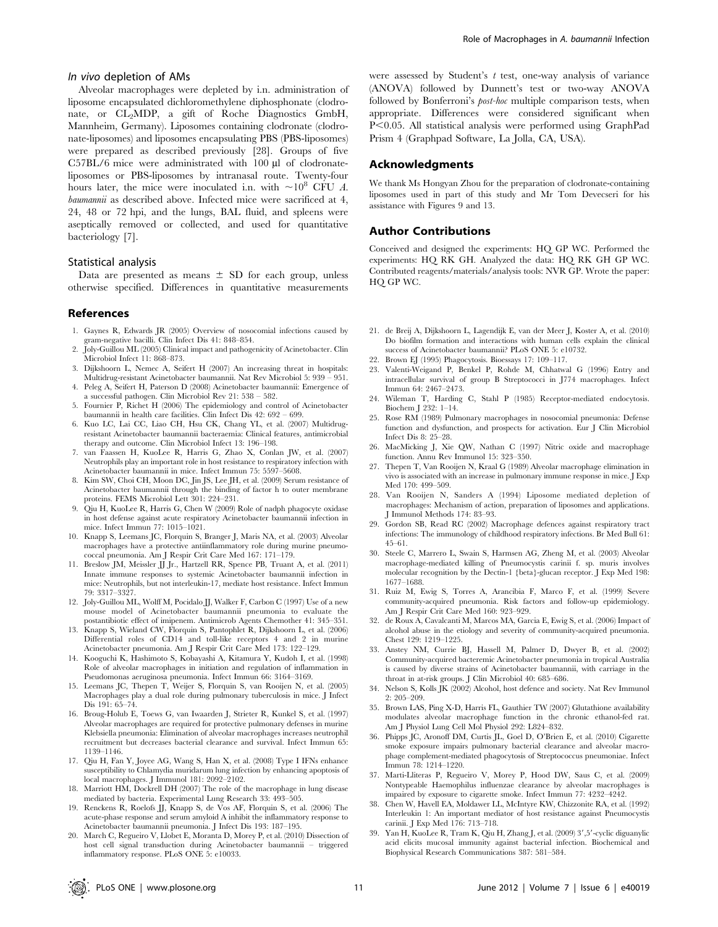#### In vivo depletion of AMs

Alveolar macrophages were depleted by i.n. administration of liposome encapsulated dichloromethylene diphosphonate (clodronate, or CL<sub>2</sub>MDP, a gift of Roche Diagnostics GmbH, Mannheim, Germany). Liposomes containing clodronate (clodronate-liposomes) and liposomes encapsulating PBS (PBS-liposomes) were prepared as described previously [28]. Groups of five  $C57BL/6$  mice were administrated with  $100 \mu l$  of clodronateliposomes or PBS-liposomes by intranasal route. Twenty-four hours later, the mice were inoculated i.n. with  $\sim 10^8$  CFU A. baumannii as described above. Infected mice were sacrificed at 4, 24, 48 or 72 hpi, and the lungs, BAL fluid, and spleens were aseptically removed or collected, and used for quantitative bacteriology [7].

### Statistical analysis

Data are presented as means  $\pm$  SD for each group, unless otherwise specified. Differences in quantitative measurements

#### References

- 1. Gaynes R, Edwards JR (2005) Overview of nosocomial infections caused by gram-negative bacilli. Clin Infect Dis 41: 848–854.
- 2. Joly-Guillou ML (2005) Clinical impact and pathogenicity of Acinetobacter. Clin Microbiol Infect 11: 868–873.
- 3. Dijkshoorn L, Nemec A, Seifert H (2007) An increasing threat in hospitals: Multidrug-resistant Acinetobacter baumannii. Nat Rev Microbiol 5: 939 – 951.
- 4. Peleg A, Seifert H, Paterson D (2008) Acinetobacter baumannii: Emergence of a successful pathogen. Clin Microbiol Rev 21: 538 – 582.
- 5. Fournier P, Richet H (2006) The epidemiology and control of Acinetobacter baumannii in health care facilities. Clin Infect Dis 42: 692 – 699.
- 6. Kuo LC, Lai CC, Liao CH, Hsu CK, Chang YL, et al. (2007) Multidrugresistant Acinetobacter baumannii bacteraemia: Clinical features, antimicrobial therapy and outcome. Clin Microbiol Infect 13: 196–198.
- 7. van Faassen H, KuoLee R, Harris G, Zhao X, Conlan JW, et al. (2007) Neutrophils play an important role in host resistance to respiratory infection with Acinetobacter baumannii in mice. Infect Immun 75: 5597–5608.
- 8. Kim SW, Choi CH, Moon DC, Jin JS, Lee JH, et al. (2009) Serum resistance of Acinetobacter baumannii through the binding of factor h to outer membrane proteins. FEMS Microbiol Lett 301: 224–231.
- 9. Qiu H, KuoLee R, Harris G, Chen W (2009) Role of nadph phagocyte oxidase in host defense against acute respiratory Acinetobacter baumannii infection in mice. Infect Immun 77: 1015–1021.
- 10. Knapp S, Leemans JC, Florquin S, Branger J, Maris NA, et al. (2003) Alveolar macrophages have a protective antiinflammatory role during murine pneumococcal pneumonia. Am J Respir Crit Care Med 167: 171–179.
- 11. Breslow JM, Meissler JJ Jr., Hartzell RR, Spence PB, Truant A, et al. (2011) Innate immune responses to systemic Acinetobacter baumannii infection in mice: Neutrophils, but not interleukin-17, mediate host resistance. Infect Immun 79: 3317–3327.
- 12. Joly-Guillou ML, Wolff M, Pocidalo JJ, Walker F, Carbon C (1997) Use of a new mouse model of Acinetobacter baumannii pneumonia to evaluate the postantibiotic effect of imipenem. Antimicrob Agents Chemother 41: 345–351.
- 13. Knapp S, Wieland CW, Florquin S, Pantophlet R, Dijkshoorn L, et al. (2006) Differential roles of CD14 and toll-like receptors 4 and 2 in murine Acinetobacter pneumonia. Am J Respir Crit Care Med 173: 122–129.
- 14. Kooguchi K, Hashimoto S, Kobayashi A, Kitamura Y, Kudoh I, et al. (1998) Role of alveolar macrophages in initiation and regulation of inflammation in Pseudomonas aeruginosa pneumonia. Infect Immun 66: 3164–3169.
- 15. Leemans JC, Thepen T, Weijer S, Florquin S, van Rooijen N, et al. (2005) Macrophages play a dual role during pulmonary tuberculosis in mice. J Infect Dis 191: 65–74.
- 16. Broug-Holub E, Toews G, van Iwaarden J, Strieter R, Kunkel S, et al. (1997) Alveolar macrophages are required for protective pulmonary defenses in murine Klebsiella pneumonia: Elimination of alveolar macrophages increases neutrophil recruitment but decreases bacterial clearance and survival. Infect Immun 65: 1139–1146.
- 17. Qiu H, Fan Y, Joyee AG, Wang S, Han X, et al. (2008) Type I IFNs enhance susceptibility to Chlamydia muridarum lung infection by enhancing apoptosis of local macrophages. J Immunol 181: 2092–2102.
- 18. Marriott HM, Dockrell DH (2007) The role of the macrophage in lung disease mediated by bacteria. Experimental Lung Research 33: 493–505.
- 19. Renckens R, Roelofs JJ, Knapp S, de Vos AF, Florquin S, et al. (2006) The acute-phase response and serum amyloid A inhibit the inflammatory response to Acinetobacter baumannii pneumonia. J Infect Dis 193: 187–195.
- 20. March C, Regueiro V, Llobet E, Moranta D, Morey P, et al. (2010) Dissection of host cell signal transduction during Acinetobacter baumannii – triggered inflammatory response. PLoS ONE 5: e10033.

were assessed by Student's  $t$  test, one-way analysis of variance (ANOVA) followed by Dunnett's test or two-way ANOVA followed by Bonferroni's *post-hoc* multiple comparison tests, when appropriate. Differences were considered significant when P<0.05. All statistical analysis were performed using GraphPad Prism 4 (Graphpad Software, La Jolla, CA, USA).

### Acknowledgments

We thank Ms Hongyan Zhou for the preparation of clodronate-containing liposomes used in part of this study and Mr Tom Devecseri for his assistance with Figures 9 and 13.

## Author Contributions

Conceived and designed the experiments: HQ GP WC. Performed the experiments: HQ RK GH. Analyzed the data: HQ RK GH GP WC. Contributed reagents/materials/analysis tools: NVR GP. Wrote the paper: HQ GP WC.

- 21. de Breij A, Dijkshoorn L, Lagendijk E, van der Meer J, Koster A, et al. (2010) Do biofilm formation and interactions with human cells explain the clinical success of Acinetobacter baumannii? PLoS ONE 5: e10732.
- 22. Brown EJ (1995) Phagocytosis. Bioessays 17: 109–117.
- 23. Valenti-Weigand P, Benkel P, Rohde M, Chhatwal G (1996) Entry and intracellular survival of group B Streptococci in J774 macrophages. Infect Immun 64: 2467–2473.
- 24. Wileman T, Harding C, Stahl P (1985) Receptor-mediated endocytosis. Biochem J 232: 1–14.
- 25. Rose RM (1989) Pulmonary macrophages in nosocomial pneumonia: Defense function and dysfunction, and prospects for activation. Eur J Clin Microbiol Infect Dis 8: 25–28.
- 26. MacMicking J, Xie QW, Nathan C (1997) Nitric oxide and macrophage function. Annu Rev Immunol 15: 323–350.
- 27. Thepen T, Van Rooijen N, Kraal G (1989) Alveolar macrophage elimination in vivo is associated with an increase in pulmonary immune response in mice. J Exp Med 170: 499–509.
- 28. Van Rooijen N, Sanders A (1994) Liposome mediated depletion of macrophages: Mechanism of action, preparation of liposomes and applications. J Immunol Methods 174: 83–93.
- Gordon SB, Read RC (2002) Macrophage defences against respiratory tract infections: The immunology of childhood respiratory infections. Br Med Bull 61: 45–61.
- 30. Steele C, Marrero L, Swain S, Harmsen AG, Zheng M, et al. (2003) Alveolar macrophage-mediated killing of Pneumocystis carinii f. sp. muris involves molecular recognition by the Dectin-1 {beta}-glucan receptor. J Exp Med 198: 1677–1688.
- 31. Ruiz M, Ewig S, Torres A, Arancibia F, Marco F, et al. (1999) Severe community-acquired pneumonia. Risk factors and follow-up epidemiology. Am J Respir Crit Care Med 160: 923–929.
- 32. de Roux A, Cavalcanti M, Marcos MA, Garcia E, Ewig S, et al. (2006) Impact of alcohol abuse in the etiology and severity of community-acquired pneumonia. Chest 129: 1219–1225.
- 33. Anstey NM, Currie BJ, Hassell M, Palmer D, Dwyer B, et al. (2002) Community-acquired bacteremic Acinetobacter pneumonia in tropical Australia is caused by diverse strains of Acinetobacter baumannii, with carriage in the throat in at-risk groups. J Clin Microbiol 40: 685–686.
- 34. Nelson S, Kolls JK (2002) Alcohol, host defence and society. Nat Rev Immunol 2: 205–209.
- 35. Brown LAS, Ping X-D, Harris FL, Gauthier TW (2007) Glutathione availability modulates alveolar macrophage function in the chronic ethanol-fed rat. Am J Physiol Lung Cell Mol Physiol 292: L824–832.
- 36. Phipps JC, Aronoff DM, Curtis JL, Goel D, O'Brien E, et al. (2010) Cigarette smoke exposure impairs pulmonary bacterial clearance and alveolar macrophage complement-mediated phagocytosis of Streptococcus pneumoniae. Infect Immun 78: 1214–1220.
- 37. Marti-Lliteras P, Regueiro V, Morey P, Hood DW, Saus C, et al. (2009) Nontypeable Haemophilus influenzae clearance by alveolar macrophages is impaired by exposure to cigarette smoke. Infect Immun 77: 4232–4242.
- 38. Chen W, Havell EA, Moldawer LL, McIntyre KW, Chizzonite RA, et al. (1992) Interleukin 1: An important mediator of host resistance against Pneumocystis carinii. J Exp Med 176: 713–718.
- 39. Yan H, KuoLee R, Tram K, Qiu H, Zhang J, et al. (2009) 3',5'-cyclic diguanylic acid elicits mucosal immunity against bacterial infection. Biochemical and Biophysical Research Communications 387: 581–584.